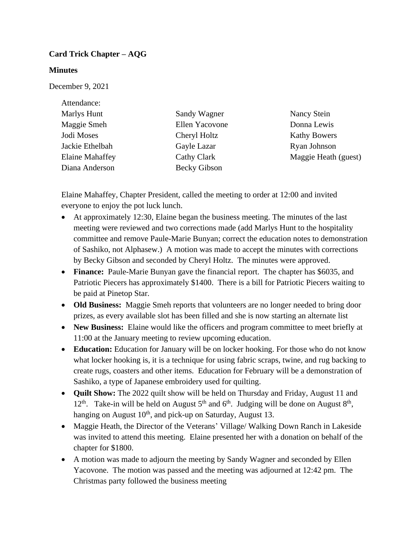## **Card Trick Chapter – AQG**

## **Minutes**

December 9, 2021

| Attendance:            |                     |                      |
|------------------------|---------------------|----------------------|
| Marlys Hunt            | Sandy Wagner        | Nancy Stein          |
| Maggie Smeh            | Ellen Yacovone      | Donna Lewis          |
| Jodi Moses             | Cheryl Holtz        | <b>Kathy Bowers</b>  |
| Jackie Ethelbah        | Gayle Lazar         | Ryan Johnson         |
| <b>Elaine Mahaffey</b> | Cathy Clark         | Maggie Heath (guest) |
| Diana Anderson         | <b>Becky Gibson</b> |                      |

Elaine Mahaffey, Chapter President, called the meeting to order at 12:00 and invited everyone to enjoy the pot luck lunch.

- At approximately 12:30, Elaine began the business meeting. The minutes of the last meeting were reviewed and two corrections made (add Marlys Hunt to the hospitality committee and remove Paule-Marie Bunyan; correct the education notes to demonstration of Sashiko, not Alphasew.) A motion was made to accept the minutes with corrections by Becky Gibson and seconded by Cheryl Holtz. The minutes were approved.
- **Finance:** Paule-Marie Bunyan gave the financial report. The chapter has \$6035, and Patriotic Piecers has approximately \$1400. There is a bill for Patriotic Piecers waiting to be paid at Pinetop Star.
- **Old Business:** Maggie Smeh reports that volunteers are no longer needed to bring door prizes, as every available slot has been filled and she is now starting an alternate list
- **New Business:** Elaine would like the officers and program committee to meet briefly at 11:00 at the January meeting to review upcoming education.
- **Education:** Education for January will be on locker hooking. For those who do not know what locker hooking is, it is a technique for using fabric scraps, twine, and rug backing to create rugs, coasters and other items. Education for February will be a demonstration of Sashiko, a type of Japanese embroidery used for quilting.
- **Quilt Show:** The 2022 quilt show will be held on Thursday and Friday, August 11 and 12<sup>th</sup>. Take-in will be held on August  $5<sup>th</sup>$  and  $6<sup>th</sup>$ . Judging will be done on August  $8<sup>th</sup>$ , hanging on August  $10<sup>th</sup>$ , and pick-up on Saturday, August 13.
- Maggie Heath, the Director of the Veterans' Village/ Walking Down Ranch in Lakeside was invited to attend this meeting. Elaine presented her with a donation on behalf of the chapter for \$1800.
- A motion was made to adjourn the meeting by Sandy Wagner and seconded by Ellen Yacovone. The motion was passed and the meeting was adjourned at 12:42 pm. The Christmas party followed the business meeting